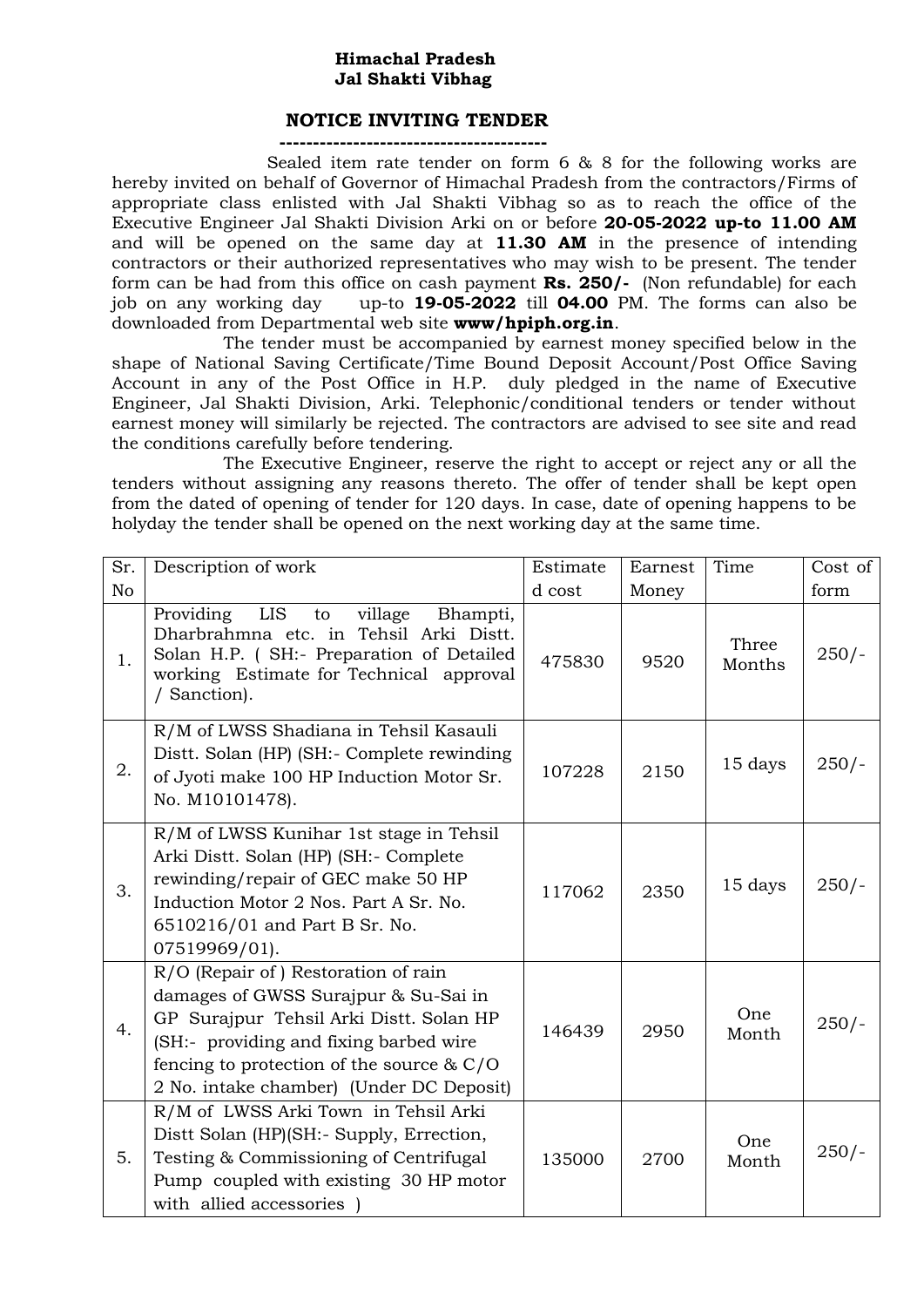### **Himachal Pradesh Jal Shakti Vibhag**

### **NOTICE INVITING TENDER**

**----------------------------------------**

 Sealed item rate tender on form 6 & 8 for the following works are hereby invited on behalf of Governor of Himachal Pradesh from the contractors/Firms of appropriate class enlisted with Jal Shakti Vibhag so as to reach the office of the Executive Engineer Jal Shakti Division Arki on or before **20-05-2022 up-to 11.00 AM**  and will be opened on the same day at **11.30 AM** in the presence of intending contractors or their authorized representatives who may wish to be present. The tender form can be had from this office on cash payment **Rs. 250/-** (Non refundable) for each job on any working day up-to **19-05-2022** till **04.00** PM. The forms can also be downloaded from Departmental web site **www/hpiph.org.in**.

The tender must be accompanied by earnest money specified below in the shape of National Saving Certificate/Time Bound Deposit Account/Post Office Saving Account in any of the Post Office in H.P. duly pledged in the name of Executive Engineer, Jal Shakti Division, Arki. Telephonic/conditional tenders or tender without earnest money will similarly be rejected. The contractors are advised to see site and read the conditions carefully before tendering.

The Executive Engineer, reserve the right to accept or reject any or all the tenders without assigning any reasons thereto. The offer of tender shall be kept open from the dated of opening of tender for 120 days. In case, date of opening happens to be holyday the tender shall be opened on the next working day at the same time.

| Sr.            | Description of work                                                                                                                                                                                                                                         | Estimate | Earnest | Time            | Cost of |
|----------------|-------------------------------------------------------------------------------------------------------------------------------------------------------------------------------------------------------------------------------------------------------------|----------|---------|-----------------|---------|
| N <sub>o</sub> |                                                                                                                                                                                                                                                             | d cost   | Money   |                 | form    |
| 1.             | LIS<br>Providing<br>village<br>Bhampti,<br>to<br>Dharbrahmna etc. in Tehsil Arki Distt.<br>Solan H.P. (SH:- Preparation of Detailed<br>working Estimate for Technical approval<br>/ Sanction).                                                              | 475830   | 9520    | Three<br>Months | $250/-$ |
| 2.             | R/M of LWSS Shadiana in Tehsil Kasauli<br>Distt. Solan (HP) (SH:- Complete rewinding<br>of Jyoti make 100 HP Induction Motor Sr.<br>No. M10101478).                                                                                                         | 107228   | 2150    | 15 days         | $250/-$ |
| 3.             | R/M of LWSS Kunihar 1st stage in Tehsil<br>Arki Distt. Solan (HP) (SH:- Complete<br>rewinding/repair of GEC make 50 HP<br>Induction Motor 2 Nos. Part A Sr. No.<br>6510216/01 and Part B Sr. No.<br>07519969/01).                                           | 117062   | 2350    | 15 days         | $250/-$ |
| 4.             | R/O (Repair of) Restoration of rain<br>damages of GWSS Surajpur & Su-Sai in<br>GP Surajpur Tehsil Arki Distt. Solan HP<br>(SH:- providing and fixing barbed wire<br>fencing to protection of the source $& C/O$<br>2 No. intake chamber) (Under DC Deposit) | 146439   | 2950    | One<br>Month    | $250/-$ |
| 5.             | R/M of LWSS Arki Town in Tehsil Arki<br>Distt Solan (HP)(SH:- Supply, Errection,<br>Testing & Commissioning of Centrifugal<br>Pump coupled with existing 30 HP motor<br>with allied accessories )                                                           | 135000   | 2700    | One<br>Month    | $250/-$ |